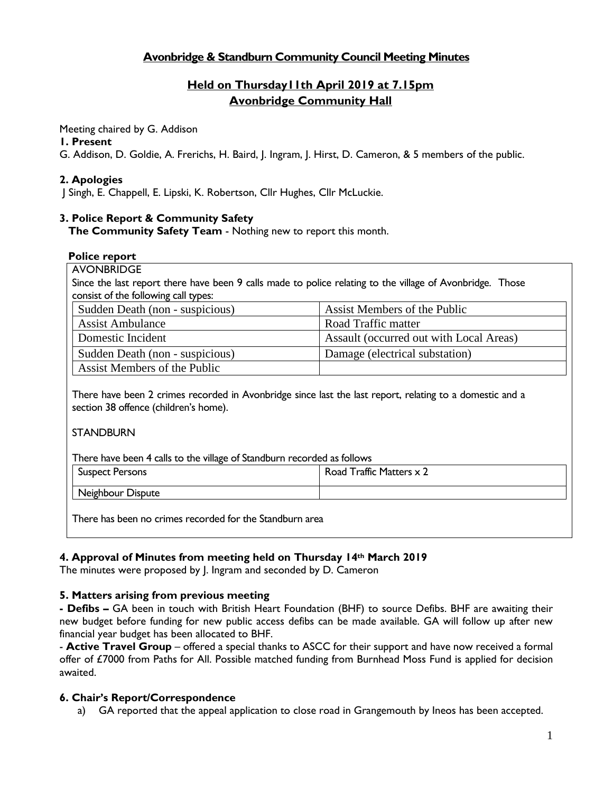# **Avonbridge & Standburn Community Council Meeting Minutes**

# **Held on Thursday11th April 2019 at 7.15pm Avonbridge Community Hall**

Meeting chaired by G. Addison

#### **1. Present**

G. Addison, D. Goldie, A. Frerichs, H. Baird, J. Ingram, J. Hirst, D. Cameron, & 5 members of the public.

### **2. Apologies**

J Singh, E. Chappell, E. Lipski, K. Robertson, Cllr Hughes, Cllr McLuckie.

### **3. Police Report & Community Safety**

**The Community Safety Team** - Nothing new to report this month.

#### **Police report**

AVONBRIDGE

Since the last report there have been 9 calls made to police relating to the village of Avonbridge. Those consist of the following call types:

| Sudden Death (non - suspicious) | Assist Members of the Public            |
|---------------------------------|-----------------------------------------|
| <b>Assist Ambulance</b>         | Road Traffic matter                     |
| Domestic Incident               | Assault (occurred out with Local Areas) |
| Sudden Death (non - suspicious) | Damage (electrical substation)          |
| Assist Members of the Public    |                                         |

There have been 2 crimes recorded in Avonbridge since last the last report, relating to a domestic and a section 38 offence (children's home).

#### **STANDBURN**

There have been 4 calls to the village of Standburn recorded as follows

| Suspect Persons   | Traffic Matters x 2<br>Road |
|-------------------|-----------------------------|
| Neighbour Dispute |                             |

There has been no crimes recorded for the Standburn area

### **4. Approval of Minutes from meeting held on Thursday 14th March 2019**

The minutes were proposed by J. Ingram and seconded by D. Cameron

### **5. Matters arising from previous meeting**

**- Defibs –** GA been in touch with British Heart Foundation (BHF) to source Defibs. BHF are awaiting their new budget before funding for new public access defibs can be made available. GA will follow up after new financial year budget has been allocated to BHF.

- **Active Travel Group** – offered a special thanks to ASCC for their support and have now received a formal offer of £7000 from Paths for All. Possible matched funding from Burnhead Moss Fund is applied for decision awaited.

### **6. Chair's Report/Correspondence**

a) GA reported that the appeal application to close road in Grangemouth by Ineos has been accepted.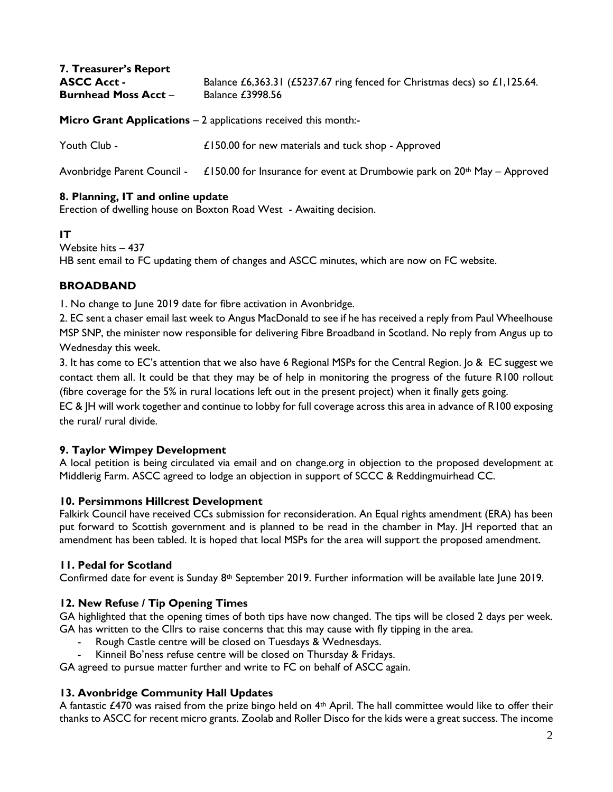| 7. Treasurer's Report<br><b>ASCC Acct -</b><br><b>Burnhead Moss Acct -</b> | Balance £6,363.31 (£5237.67 ring fenced for Christmas decs) so £1,125.64.<br><b>Balance £3998.56</b> |
|----------------------------------------------------------------------------|------------------------------------------------------------------------------------------------------|
|                                                                            | <b>Micro Grant Applications – 2 applications received this month:-</b>                               |
| Youth Club -                                                               | £150.00 for new materials and tuck shop - Approved                                                   |
| Avonbridge Parent Council -                                                | £150.00 for Insurance for event at Drumbowie park on $20th$ May – Approved                           |

# **8. Planning, IT and online update**

Erection of dwelling house on Boxton Road West - Awaiting decision.

### **IT**

Website hits – 437 HB sent email to FC updating them of changes and ASCC minutes, which are now on FC website.

# **BROADBAND**

1. No change to June 2019 date for fibre activation in Avonbridge.

2. EC sent a chaser email last week to Angus MacDonald to see if he has received a reply from Paul Wheelhouse MSP SNP, the minister now responsible for delivering Fibre Broadband in Scotland. No reply from Angus up to Wednesday this week.

3. It has come to EC's attention that we also have 6 Regional MSPs for the Central Region. Jo & EC suggest we contact them all. It could be that they may be of help in monitoring the progress of the future R100 rollout (fibre coverage for the 5% in rural locations left out in the present project) when it finally gets going.

EC & JH will work together and continue to lobby for full coverage across this area in advance of R100 exposing the rural/ rural divide.

### **9. Taylor Wimpey Development**

A local petition is being circulated via email and on change.org in objection to the proposed development at Middlerig Farm. ASCC agreed to lodge an objection in support of SCCC & Reddingmuirhead CC.

### **10. Persimmons Hillcrest Development**

Falkirk Council have received CCs submission for reconsideration. An Equal rights amendment (ERA) has been put forward to Scottish government and is planned to be read in the chamber in May. JH reported that an amendment has been tabled. It is hoped that local MSPs for the area will support the proposed amendment.

### **11. Pedal for Scotland**

Confirmed date for event is Sunday 8th September 2019. Further information will be available late June 2019.

### **12. New Refuse / Tip Opening Times**

GA highlighted that the opening times of both tips have now changed. The tips will be closed 2 days per week. GA has written to the Cllrs to raise concerns that this may cause with fly tipping in the area.

Rough Castle centre will be closed on Tuesdays & Wednesdays.

Kinneil Bo'ness refuse centre will be closed on Thursday & Fridays.

GA agreed to pursue matter further and write to FC on behalf of ASCC again.

### **13. Avonbridge Community Hall Updates**

A fantastic £470 was raised from the prize bingo held on  $4<sup>th</sup>$  April. The hall committee would like to offer their thanks to ASCC for recent micro grants. Zoolab and Roller Disco for the kids were a great success. The income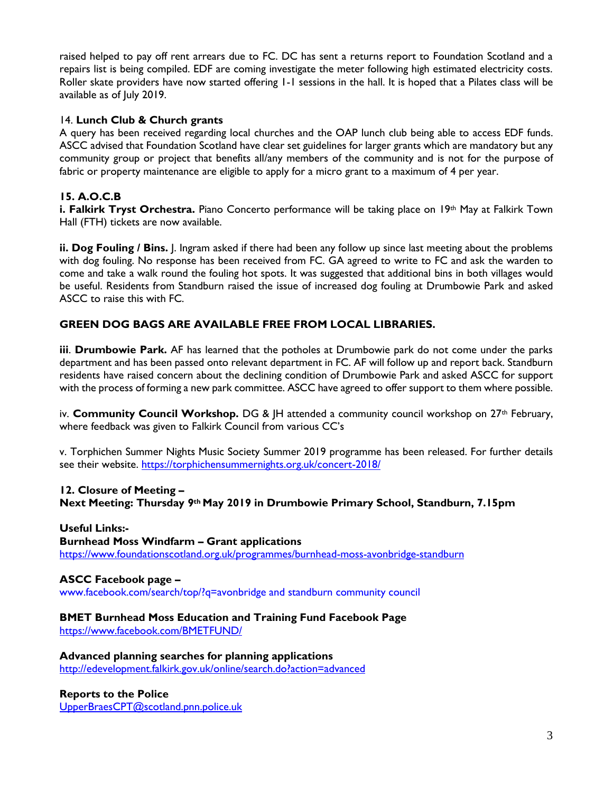raised helped to pay off rent arrears due to FC. DC has sent a returns report to Foundation Scotland and a repairs list is being compiled. EDF are coming investigate the meter following high estimated electricity costs. Roller skate providers have now started offering 1-1 sessions in the hall. It is hoped that a Pilates class will be available as of July 2019.

### 14. **Lunch Club & Church grants**

A query has been received regarding local churches and the OAP lunch club being able to access EDF funds. ASCC advised that Foundation Scotland have clear set guidelines for larger grants which are mandatory but any community group or project that benefits all/any members of the community and is not for the purpose of fabric or property maintenance are eligible to apply for a micro grant to a maximum of 4 per year.

# **15. A.O.C.B**

i. Falkirk Tryst Orchestra. Piano Concerto performance will be taking place on 19<sup>th</sup> May at Falkirk Town Hall (FTH) tickets are now available.

**ii. Dog Fouling / Bins.** J. Ingram asked if there had been any follow up since last meeting about the problems with dog fouling. No response has been received from FC. GA agreed to write to FC and ask the warden to come and take a walk round the fouling hot spots. It was suggested that additional bins in both villages would be useful. Residents from Standburn raised the issue of increased dog fouling at Drumbowie Park and asked ASCC to raise this with FC.

# **GREEN DOG BAGS ARE AVAILABLE FREE FROM LOCAL LIBRARIES.**

**iii**. **Drumbowie Park.** AF has learned that the potholes at Drumbowie park do not come under the parks department and has been passed onto relevant department in FC. AF will follow up and report back. Standburn residents have raised concern about the declining condition of Drumbowie Park and asked ASCC for support with the process of forming a new park committee. ASCC have agreed to offer support to them where possible.

iv. **Community Council Workshop.** DG & |H attended a community council workshop on 27<sup>th</sup> February, where feedback was given to Falkirk Council from various CC's

v. Torphichen Summer Nights Music Society Summer 2019 programme has been released. For further details see their website.<https://torphichensummernights.org.uk/concert-2018/>

#### **12. Closure of Meeting –**

**Next Meeting: Thursday 9th May 2019 in Drumbowie Primary School, Standburn, 7.15pm**

#### **Useful Links:-**

**Burnhead Moss Windfarm – Grant applications** <https://www.foundationscotland.org.uk/programmes/burnhead-moss-avonbridge-standburn>

#### **ASCC Facebook page –**

www.facebook.com/search/top/?q=avonbridge and standburn community council

### **BMET Burnhead Moss Education and Training Fund Facebook Page**

<https://www.facebook.com/BMETFUND/>

**Advanced planning searches for planning applications** <http://edevelopment.falkirk.gov.uk/online/search.do?action=advanced>

#### **Reports to the Police** [UpperBraesCPT@scotland.pnn.police.uk](mailto:UpperBraesCPT@scotland.pnn.police.uk)